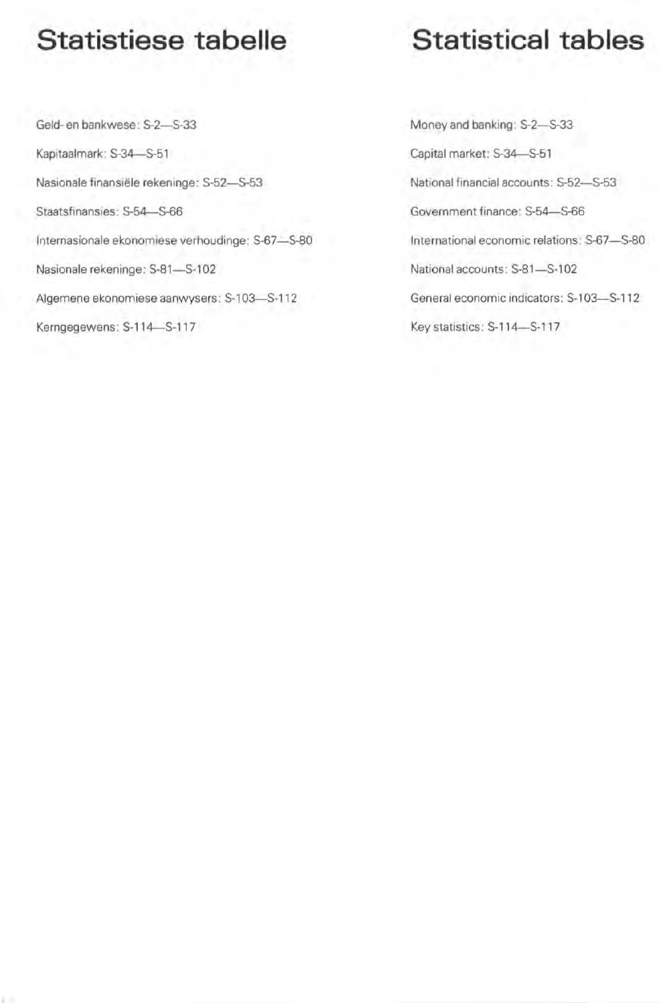## Statistiese tabelle

## Statistical tables

Geld- en bankwese: S-2-S-33 Kapitaalmark: S-34-S-51 Nasionale finansiële rekeninge: S-52-S-53 Staatsfinansies: S-54-S-66 Internasionale ekonomiese verhoudinge: S-67-S-80 Nasionale rekeninge: S-81-S-102 Algemene ekonomiese aanwysers: S-103-S-112 Kerngegewens: S-114-S-117

Money and banking: S-2-S-33 Capital market: S-34-S-51 National financial accounts: S-52-S-53 Government finance: \$-54-S-66 International economic relations: S-67-S-80 National accounts: S-81-S-102 General economic indicators: S-103-S-112 Key statistics: S-114-S-117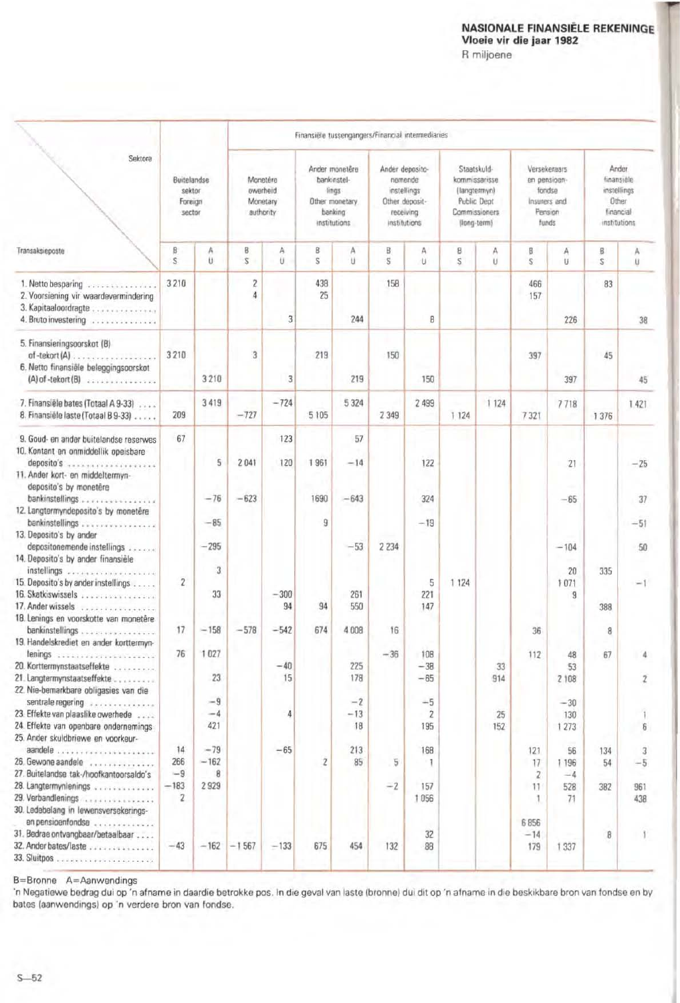## NASIONALE FINANSIËLE REKENINGE<br>Vloeie vir die jaar 1982

R miljoene

|                                                                                                                                                            | Finansiële tussengangers/Financial intermediaries |                      |                                               |                |                                                                                     |                     |                                                                                          |                               |                                                                                             |           |                                                                            |                         |                                                                          |             |
|------------------------------------------------------------------------------------------------------------------------------------------------------------|---------------------------------------------------|----------------------|-----------------------------------------------|----------------|-------------------------------------------------------------------------------------|---------------------|------------------------------------------------------------------------------------------|-------------------------------|---------------------------------------------------------------------------------------------|-----------|----------------------------------------------------------------------------|-------------------------|--------------------------------------------------------------------------|-------------|
| Sektore                                                                                                                                                    | Buitelandse<br>sektor<br>Foreign<br>sector        |                      | Monetêre<br>owerheid<br>Monetary<br>authority |                | Ander monetêre<br>bankinstel-<br>lings<br>Other monetary<br>banking<br>institutions |                     | Ander deposito-<br>nemende<br>instellings<br>Other deposit-<br>receiving<br>institutions |                               | Staatskuld-<br>kommissarisse<br>(langtermyn)<br>Public Dept<br>Commissioners<br>(long-term) |           | Versekeraars<br>en pensioen-<br>fondse<br>Insurers and<br>Pension<br>funds |                         | Ander<br>finansiele<br>instellings<br>Other<br>financial<br>institutions |             |
| Transaksieposte                                                                                                                                            | ß<br>S.                                           | A<br>U               | В<br>$\overline{S}$                           | A<br>Ü         | B<br>s                                                                              | A<br>u              | B<br>s                                                                                   | Α<br>U                        | 8<br>S                                                                                      | А<br>U    | B<br>S                                                                     | А<br>U                  | $\mathbf B$<br>S                                                         | A<br>ü      |
| 1. Netto besparing<br>2. Voorsiening vir waardevermindering<br>3. Kapitaaloordragte<br>4. Bruto investering                                                | 3210                                              |                      | $\overline{\mathbf{c}}$<br>$\overline{4}$     | $\overline{3}$ | 438<br>25                                                                           | 244                 | 158                                                                                      | B                             |                                                                                             |           | 466<br>157                                                                 | 226                     | 83                                                                       | 38          |
| 5. Finansieringsoorskot (B)<br>$of -tekort(A) \ldots \ldots$<br>6. Netto finansiële beleggingsoorskot<br>$(A)$ of -tekort $(B)$                            | 3210                                              | 3 2 1 0              | 3                                             | 3              | 219                                                                                 | 219                 | 150                                                                                      | 150                           |                                                                                             |           | 397                                                                        | 397                     | 45                                                                       | 45          |
| 7. Finansiële bates (Totaal A 9-33)<br>8. Finansiële laste (Totaal B 9-33)                                                                                 | 209                                               | 3419                 | $-727$                                        | $-724$         | 5 105                                                                               | 5 3 2 4             | 2 3 4 9                                                                                  | 2 4 9 9                       | 1 1 2 4                                                                                     | 1 1 2 4   | 7321                                                                       | 7718                    | 1 376                                                                    | 1421        |
| 9. Goud- en ander buitelandse reserwes<br>10. Kontant en onmiddellik opeisbare<br>deposito's<br>11. Ander kort- en middeltermyn-<br>deposito's by monetêre | 67                                                | 5                    | 2041                                          | 123<br>120     | 1961                                                                                | 57<br>$-14$         |                                                                                          | 122                           |                                                                                             |           |                                                                            | 21                      |                                                                          | $-25$       |
| bankinstellings<br>12. Langtermyndeposito's by monetêre<br>bankinstellings                                                                                 |                                                   | $-76$<br>$-85$       | $-623$                                        |                | 1690<br>9                                                                           | $-643$              |                                                                                          | 324<br>$-19$                  |                                                                                             |           |                                                                            | $-65$                   |                                                                          | 37<br>$-51$ |
| 13. Deposito's by ander<br>depositonemende instellings<br>14. Deposito's by ander finansièle                                                               |                                                   | $-295$               |                                               |                |                                                                                     | $-53$               | 2 2 3 4                                                                                  |                               |                                                                                             |           |                                                                            | $-104$                  |                                                                          | 50          |
| instellings<br>15. Deposito's by ander instellings<br>16. Skatkiswissels<br>17. Ander wissels<br>18. Lenings en voorskotte van monetêre                    | $\overline{2}$                                    | 3<br>33              |                                               | $-300$<br>94   | 94                                                                                  | 261<br>550          |                                                                                          | 5<br>221<br>147               | 1 1 2 4                                                                                     |           |                                                                            | 20<br>1071<br>9         | 335<br>388                                                               |             |
| bankinstellings.<br>***************<br>19. Handelskrediet en ander korttermyn-                                                                             | 17                                                | $-158$               | $-578$                                        | $-542$         | 674                                                                                 | 4 008               | 16                                                                                       |                               |                                                                                             |           | 36                                                                         |                         | 8                                                                        |             |
| lenings<br>**********************<br>20. Korttermynstaatseffekte<br>21. Langtermynstaatseffekte<br>22. Nie-bemarkbare obligasies van die                   | 76                                                | 1027<br>23           |                                               | $-40$<br>15    |                                                                                     | 225<br>178          | $-36$                                                                                    | 108<br>$-38$<br>$-65$         |                                                                                             | 33<br>914 | 112                                                                        | 48<br>53<br>2 108       | 67                                                                       | 2           |
| sentrale regering<br>23. Effekte van plaaslike owerhede<br>24. Effekte van openbare ondernemings<br>25. Ander skuldbriewe en voorkeur-                     |                                                   | $-9$<br>$-4$<br>421  |                                               | 4              |                                                                                     | $-2$<br>$-13$<br>18 |                                                                                          | $-5$<br>$\overline{2}$<br>195 |                                                                                             | 25<br>152 |                                                                            | $-30$<br>130<br>1 2 7 3 |                                                                          | 6           |
| 26. Gewone aandele<br>27. Buitelandse tak-/hoofkantoorsaldo's                                                                                              | 14<br>266<br>$-9$                                 | $-79$<br>$-162$<br>8 |                                               | $-65$          | $\sqrt{2}$                                                                          | 213<br>85           | 5                                                                                        | 168<br>- 1                    |                                                                                             |           | 121<br>17<br>$\overline{2}$                                                | 56<br>1196<br>$-4$      | 134<br>54                                                                | 3<br>$-5$   |
| 28. Langtermynlenings<br>29. Verbandlenings<br>30. Ledebelang in lewensversekerings-                                                                       | $-183$<br>$\overline{2}$                          | 2929                 |                                               |                |                                                                                     |                     | $-2$                                                                                     | 157<br>1056                   |                                                                                             |           | 11<br>1                                                                    | 528<br>71               | 382                                                                      | 961<br>438  |
| en pensioenfondse<br>.<br>31. Bedrae ontvangbaar/betaalbaar<br>32. Ander bates/laste                                                                       | $-43$                                             | $-162$               | $-1567$                                       | $-133$         | 675                                                                                 | 454                 | 132                                                                                      | 32<br>88                      |                                                                                             |           | 6856<br>$-14$<br>179                                                       | 1 3 3 7                 | 8                                                                        |             |

B=Bronne A=Aanwendings

'n Negatiewe bedrag dui op 'n afname in daardie betrokke pos. In die geval van laste (bronne) dui dit op 'n afname in die beskikbare bron van fondse en by bates (aanwendings) op 'n verdere bron van fondse.